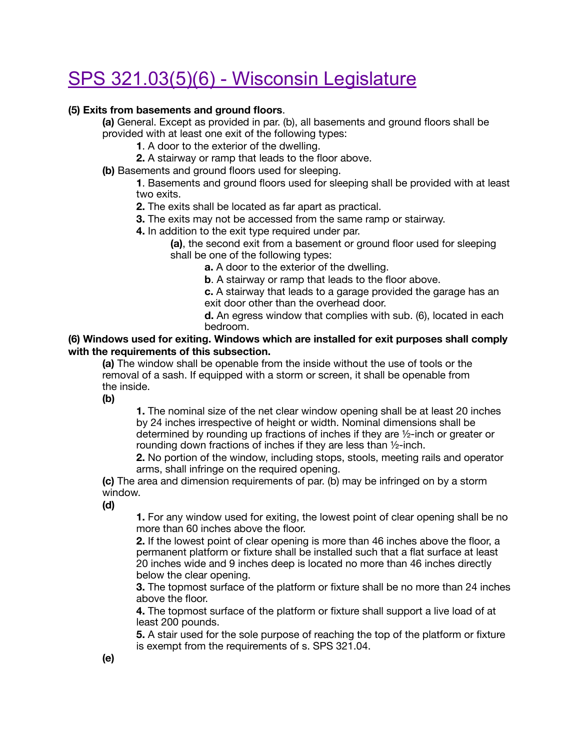# [SPS 321.03\(5\)\(6\) - Wisconsin Legislature](https://docs.legis.wisconsin.gov/code/admin_code/sps/safety_and_buildings_and_environment/320_325/321/II/03/3/c)

### **(5) Exits from basements and ground floors**.

**(a)** General. Except as provided in par. (b), all basements and ground floors shall be provided with at least one exit of the following types:

- **1**. A door to the exterior of the dwelling.
- **2.** A stairway or ramp that leads to the floor above.

**(b)** Basements and ground floors used for sleeping.

 **1**. Basements and ground floors used for sleeping shall be provided with at least two exits.

 **2.** The exits shall be located as far apart as practical.

- **3.** The exits may not be accessed from the same ramp or stairway.
- **4.** In addition to the exit type required under par.

 **(a)**, the second exit from a basement or ground floor used for sleeping shall be one of the following types:

 **a.** A door to the exterior of the dwelling.

**b**. A stairway or ramp that leads to the floor above.

 **c.** A stairway that leads to a garage provided the garage has an exit door other than the overhead door.

 **d.** An egress window that complies with sub. (6), located in each bedroom.

#### **(6) Windows used for exiting. Windows which are installed for exit purposes shall comply with the requirements of this subsection.**

**(a)** The window shall be openable from the inside without the use of tools or the removal of a sash. If equipped with a storm or screen, it shall be openable from the inside.

**(b)**

 **1.** The nominal size of the net clear window opening shall be at least 20 inches by 24 inches irrespective of height or width. Nominal dimensions shall be determined by rounding up fractions of inches if they are ½-inch or greater or rounding down fractions of inches if they are less than ½-inch.

 **2.** No portion of the window, including stops, stools, meeting rails and operator arms, shall infringe on the required opening.

**(c)** The area and dimension requirements of par. (b) may be infringed on by a storm window.

**(d)**

 **1.** For any window used for exiting, the lowest point of clear opening shall be no more than 60 inches above the floor.

 **2.** If the lowest point of clear opening is more than 46 inches above the floor, a permanent platform or fixture shall be installed such that a flat surface at least 20 inches wide and 9 inches deep is located no more than 46 inches directly below the clear opening.

 **3.** The topmost surface of the platform or fixture shall be no more than 24 inches above the floor.

 **4.** The topmost surface of the platform or fixture shall support a live load of at least 200 pounds.

 **5.** A stair used for the sole purpose of reaching the top of the platform or fixture is exempt from the requirements of s. SPS 321.04.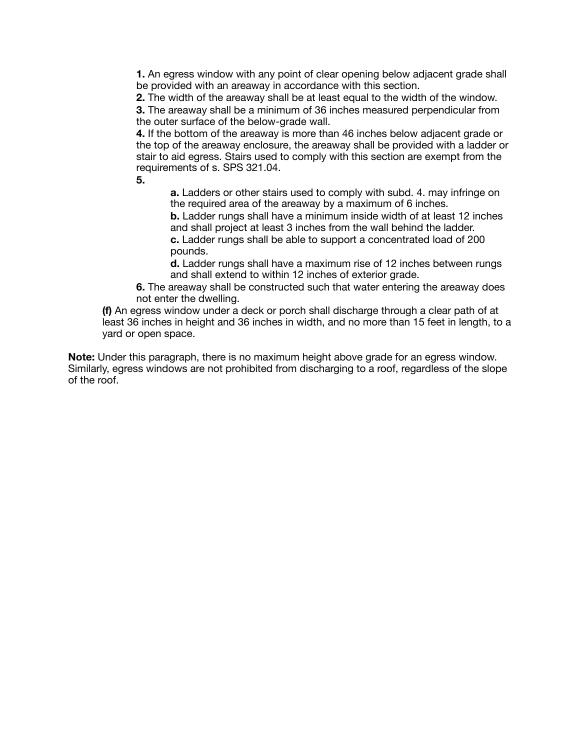**1.** An egress window with any point of clear opening below adjacent grade shall be provided with an areaway in accordance with this section.

 **2.** The width of the areaway shall be at least equal to the width of the window.

 **3.** The areaway shall be a minimum of 36 inches measured perpendicular from the outer surface of the below-grade wall.

 **4.** If the bottom of the areaway is more than 46 inches below adjacent grade or the top of the areaway enclosure, the areaway shall be provided with a ladder or stair to aid egress. Stairs used to comply with this section are exempt from the requirements of s. SPS 321.04.

 **5.**

 **a.** Ladders or other stairs used to comply with subd. 4. may infringe on the required area of the areaway by a maximum of 6 inches.

 **b.** Ladder rungs shall have a minimum inside width of at least 12 inches and shall project at least 3 inches from the wall behind the ladder.

 **c.** Ladder rungs shall be able to support a concentrated load of 200 pounds.

 **d.** Ladder rungs shall have a maximum rise of 12 inches between rungs and shall extend to within 12 inches of exterior grade.

 **6.** The areaway shall be constructed such that water entering the areaway does not enter the dwelling.

**(f)** An egress window under a deck or porch shall discharge through a clear path of at least 36 inches in height and 36 inches in width, and no more than 15 feet in length, to a yard or open space.

**Note:** Under this paragraph, there is no maximum height above grade for an egress window. Similarly, egress windows are not prohibited from discharging to a roof, regardless of the slope of the roof.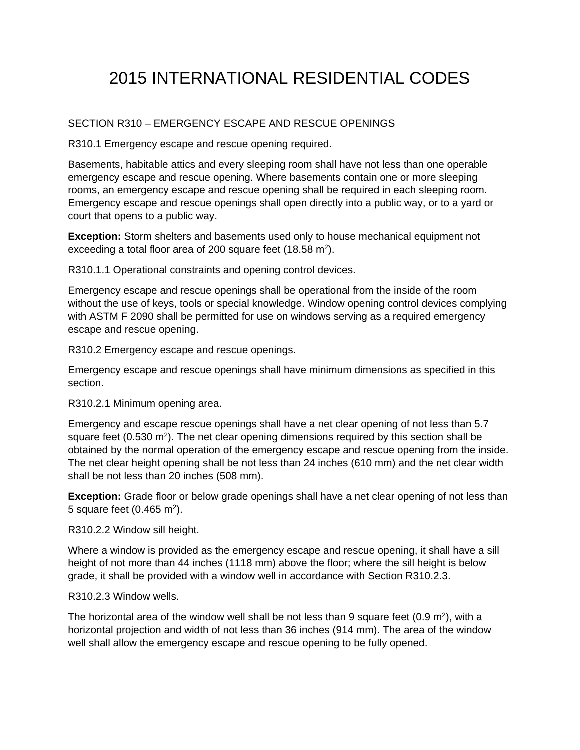## 2015 INTERNATIONAL RESIDENTIAL CODES

### SECTION R310 – EMERGENCY ESCAPE AND RESCUE OPENINGS

R310.1 Emergency escape and rescue opening required.

Basements, habitable attics and every sleeping room shall have not less than one operable emergency escape and rescue opening. Where basements contain one or more sleeping rooms, an emergency escape and rescue opening shall be required in each sleeping room. Emergency escape and rescue openings shall open directly into a public way, or to a yard or court that opens to a public way.

**Exception:** Storm shelters and basements used only to house mechanical equipment not exceeding a total floor area of 200 square feet (18.58 m<sup>2</sup>).

R310.1.1 Operational constraints and opening control devices.

Emergency escape and rescue openings shall be operational from the inside of the room without the use of keys, tools or special knowledge. Window opening control devices complying with ASTM F 2090 shall be permitted for use on windows serving as a required emergency escape and rescue opening.

R310.2 Emergency escape and rescue openings.

Emergency escape and rescue openings shall have minimum dimensions as specified in this section.

R310.2.1 Minimum opening area.

Emergency and escape rescue openings shall have a net clear opening of not less than 5.7 square feet ( $0.530$  m<sup>2</sup>). The net clear opening dimensions required by this section shall be obtained by the normal operation of the emergency escape and rescue opening from the inside. The net clear height opening shall be not less than 24 inches (610 mm) and the net clear width shall be not less than 20 inches (508 mm).

**Exception:** Grade floor or below grade openings shall have a net clear opening of not less than 5 square feet (0.465 m2).

R310.2.2 Window sill height.

Where a window is provided as the emergency escape and rescue opening, it shall have a sill height of not more than 44 inches (1118 mm) above the floor; where the sill height is below grade, it shall be provided with a window well in accordance with Section R310.2.3.

R310.2.3 Window wells.

The horizontal area of the window well shall be not less than 9 square feet  $(0.9 \text{ m}^2)$ , with a horizontal projection and width of not less than 36 inches (914 mm). The area of the window well shall allow the emergency escape and rescue opening to be fully opened.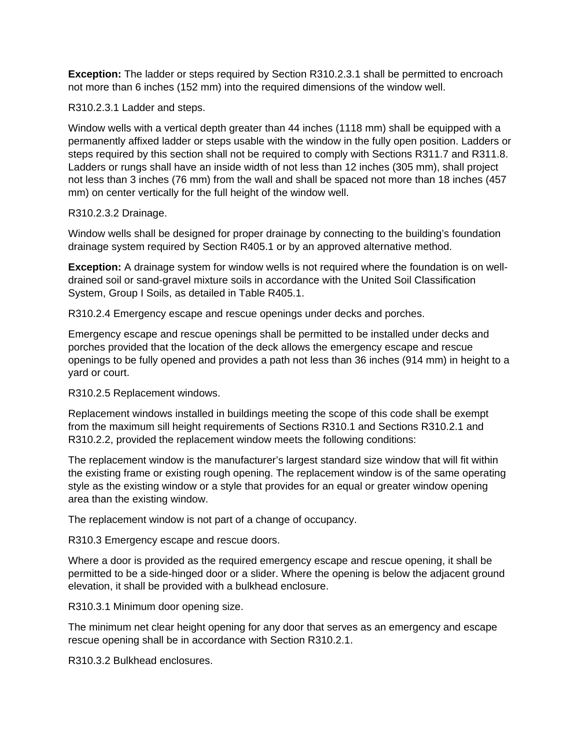**Exception:** The ladder or steps required by Section R310.2.3.1 shall be permitted to encroach not more than 6 inches (152 mm) into the required dimensions of the window well.

R310.2.3.1 Ladder and steps.

Window wells with a vertical depth greater than 44 inches (1118 mm) shall be equipped with a permanently affixed ladder or steps usable with the window in the fully open position. Ladders or steps required by this section shall not be required to comply with Sections R311.7 and R311.8. Ladders or rungs shall have an inside width of not less than 12 inches (305 mm), shall project not less than 3 inches (76 mm) from the wall and shall be spaced not more than 18 inches (457 mm) on center vertically for the full height of the window well.

R310.2.3.2 Drainage.

Window wells shall be designed for proper drainage by connecting to the building's foundation drainage system required by Section R405.1 or by an approved alternative method.

**Exception:** A drainage system for window wells is not required where the foundation is on welldrained soil or sand-gravel mixture soils in accordance with the United Soil Classification System, Group I Soils, as detailed in Table R405.1.

R310.2.4 Emergency escape and rescue openings under decks and porches.

Emergency escape and rescue openings shall be permitted to be installed under decks and porches provided that the location of the deck allows the emergency escape and rescue openings to be fully opened and provides a path not less than 36 inches (914 mm) in height to a yard or court.

R310.2.5 Replacement windows.

Replacement windows installed in buildings meeting the scope of this code shall be exempt from the maximum sill height requirements of Sections R310.1 and Sections R310.2.1 and R310.2.2, provided the replacement window meets the following conditions:

The replacement window is the manufacturer's largest standard size window that will fit within the existing frame or existing rough opening. The replacement window is of the same operating style as the existing window or a style that provides for an equal or greater window opening area than the existing window.

The replacement window is not part of a change of occupancy.

R310.3 Emergency escape and rescue doors.

Where a door is provided as the required emergency escape and rescue opening, it shall be permitted to be a side-hinged door or a slider. Where the opening is below the adjacent ground elevation, it shall be provided with a bulkhead enclosure.

R310.3.1 Minimum door opening size.

The minimum net clear height opening for any door that serves as an emergency and escape rescue opening shall be in accordance with Section R310.2.1.

R310.3.2 Bulkhead enclosures.